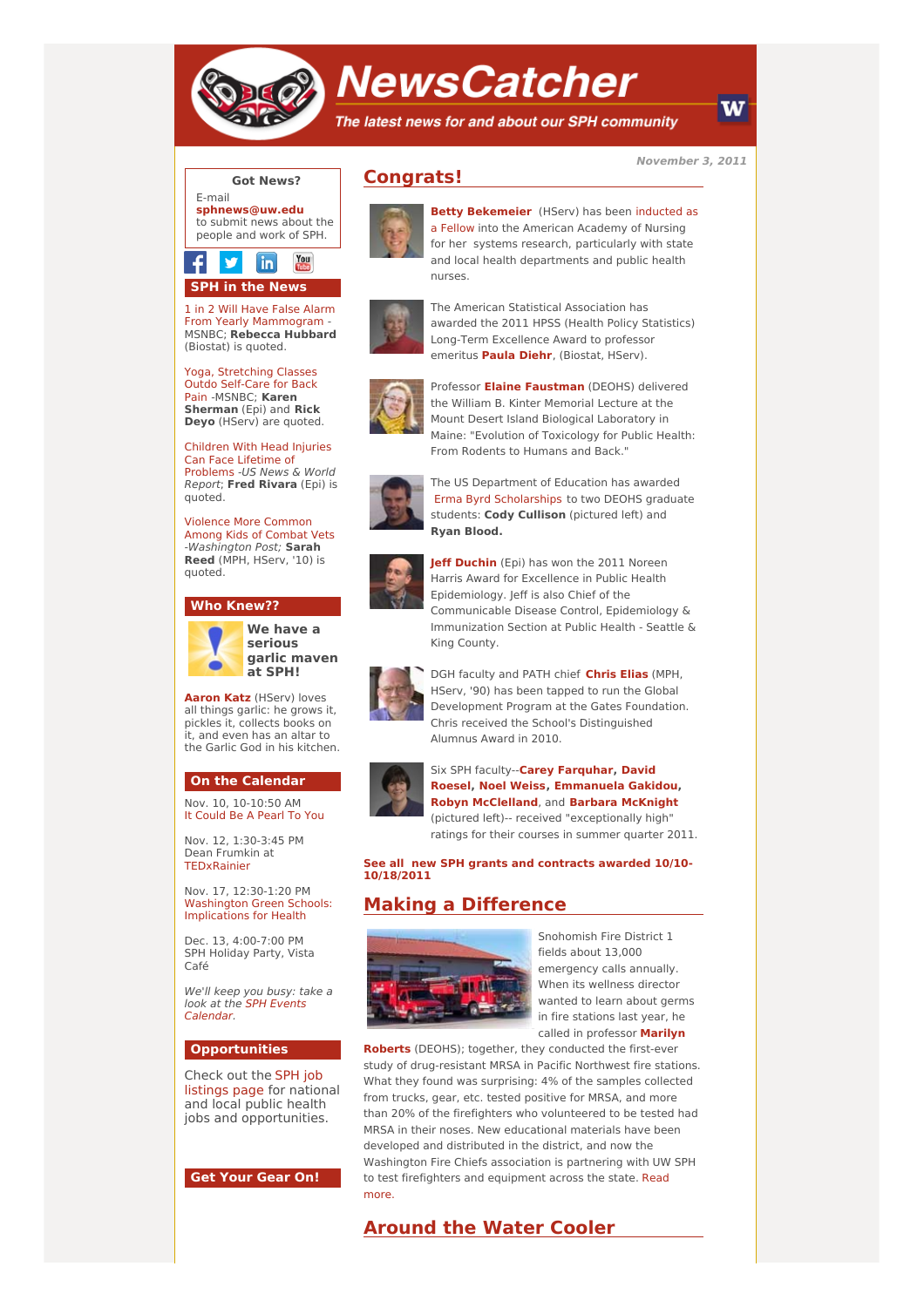

# **NewsCatcher**

The latest news for and about our SPH community

**November 3, 2011**

W

## **Got News?**

E-mail **[sphnews@uw.edu](mailto:sphnews@uw.edu)** to submit news about the people and work of SPH.



1 in 2 Will Have False Alarm From Yearly [Mammogram](http://engage.washington.edu/site/R?i=h2bI5H6BZAMoY1NTyzE5tw) MSNBC; **Rebecca Hubbard** (Biostat) is quoted.

Yoga, [Stretching](http://engage.washington.edu/site/R?i=rMnr3Cs-uRh1wRhEDFlgcg) Classes Outdo Self-Care for Back Pain -MSNBC; **Karen Sherman** (Epi) and **Rick Deyo** (HServ) are quoted.

Children With Head Injuries Can Face Lifetime of [Problems](http://engage.washington.edu/site/R?i=VZ7DvCQkmz8y7PIxnd2ISg) -US News & World Report; **Fred Rivara** (Epi) is quoted.

Violence More [Common](http://engage.washington.edu/site/R?i=SYfVidetb8CWdotKDQDQ3g) Among Kids of Combat Vets -Washington Post; **Sarah Reed** (MPH, HServ, '10) is quoted.

#### **Who Knew??**



**We have a serious garlic maven at SPH!**

**[Aaron](http://engage.washington.edu/site/R?i=FikXG8WgcauvkohL8HpP6Q) Katz** (HServ) loves all things garlic: he grows it, pickles it, collects books on it, and even has an altar to the Garlic God in his kitchen.

#### **On the Calendar**

Nov. 10, 10-10:50 AM It [Could](http://engage.washington.edu/site/R?i=hM1LuIHid15KaDF-dsUHVg) Be A Pearl To You

Nov. 12, 1:30-3:45 PM Dean Frumkin at **TEDyRainier** 

Nov. 17, 12:30-1:20 PM Washington Green Schools: [Implications](http://engage.washington.edu/site/R?i=YllbKJSGwZS7bJZwWUhCvA) for Health

Dec. 13, 4:00-7:00 PM SPH Holiday Party, Vista Café

We'll keep you busy: take a look at the SPH Events [Calendar.](http://engage.washington.edu/site/R?i=_28Wy8o8BNz_7ydKSykiqg)

#### **Opportunities**

Check out the SPH job [listings](http://engage.washington.edu/site/R?i=p_zoX3uil8wWxdS6QwptHw) page for national and local public health jobs and opportunities.

#### **Get Your Gear On!**

# **Congrats!**



**Betty [Bekemeier](http://engage.washington.edu/site/R?i=KjUjFpPQzPXOVXk-A3H4EQ)** (HServ) has been inducted as a Fellow into the American Academy of Nursing for her systems research, particularly with state and local health departments and public health nurses.



The American Statistical Association has awarded the 2011 HPSS (Health Policy Statistics) Long-Term Excellence Award to professor emeritus **[Paula](http://engage.washington.edu/site/R?i=9xfkoNKH1MBDODqhrLXKiw) Diehr**, (Biostat, HServ).



Professor **Elaine [Faustman](http://engage.washington.edu/site/R?i=rD5h2UL81Hz4j78Zw5_NJA)** (DEOHS) delivered the William B. Kinter Memorial Lecture at the Mount Desert Island Biological Laboratory in Maine: "Evolution of Toxicology for Public Health: From Rodents to Humans and Back."



The US Department of Education has awarded Erma Byrd [Scholarships](http://engage.washington.edu/site/R?i=1Qj8geePT75aIcsoTHqsHw) to two DEOHS graduate students: **Cody Cullison** (pictured left) and **Ryan Blood.**



**Jeff [Duchin](http://engage.washington.edu/site/R?i=eBGX4eZd_brvZGdoyQnZ5g)** (Epi) has won the 2011 Noreen Harris Award for Excellence in Public Health Epidemiology. Jeff is also Chief of the Communicable Disease Control, Epidemiology & Immunization Section at Public Health - Seattle & King County.



DGH faculty and PATH chief **[Chris](http://engage.washington.edu/site/R?i=O03GzEbnkGKRn3gdp89srw) Elias** (MPH, HServ, '90) has been tapped to run the Global Development Program at the Gates Foundation. Chris received the School's Distinguished Alumnus Award in 2010.



Six SPH faculty--**Carey [Farquhar,](http://engage.washington.edu/site/R?i=eaFDcOA8RGUTXjXg4rPuHg) David Roesel, Noel [Weiss,](http://engage.washington.edu/site/R?i=GUFze40sInHKDU7b8qAeBA) [Emmanuela](http://engage.washington.edu/site/R?i=B809lW9wLKft-u6MdphSYQ) Gakidou, Robyn [McClelland](http://engage.washington.edu/site/R?i=wgBBQOZwD_dwDQJxWk1KJA)**, and **Barbara [McKnight](http://engage.washington.edu/site/R?i=CUQRahPILXKoQi97MBDhkg)** (pictured left)-- received "exceptionally high" ratings for their courses in summer quarter 2011.

**See all new SPH grants and contracts awarded 10/10- [10/18/2011](http://engage.washington.edu/site/R?i=faa4wNfMwoy49Vh3U6wOOQ)**

# **Making a Difference**



Snohomish Fire District 1 fields about 13,000 emergency calls annually. When its wellness director wanted to learn about germs in fire stations last year, he called in [professor](http://engage.washington.edu/site/R?i=sGIAmnev79BseJEhpCC8qA) **Marilyn**

**Roberts** (DEOHS); together, they conducted the first-ever study of drug-resistant MRSA in Pacific Northwest fire stations. What they found was surprising: 4% of the samples collected from trucks, gear, etc. tested positive for MRSA, and more than 20% of the firefighters who volunteered to be tested had MRSA in their noses. New educational materials have been developed and distributed in the district, and now the Washington Fire Chiefs association is partnering with UW SPH to test [firefighters](http://engage.washington.edu/site/R?i=uRSrU41mt-RC_BVOxyiuDA) and equipment across the state. Read more.

### **Around the Water Cooler**